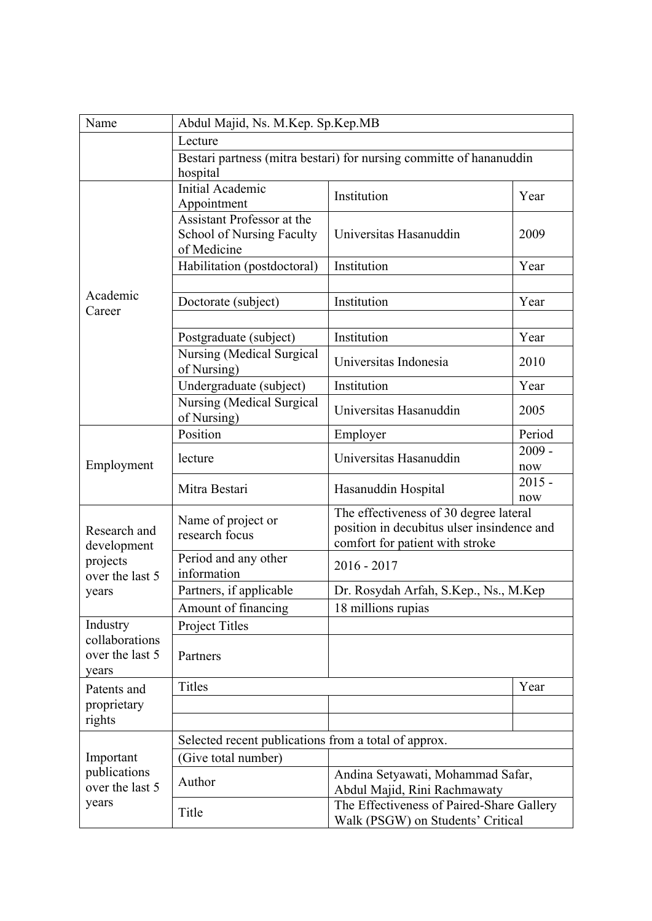| Name                                                                | Abdul Majid, Ns. M.Kep. Sp.Kep.MB                                               |                                                                                                                         |                 |  |
|---------------------------------------------------------------------|---------------------------------------------------------------------------------|-------------------------------------------------------------------------------------------------------------------------|-----------------|--|
|                                                                     | Lecture                                                                         |                                                                                                                         |                 |  |
|                                                                     | Bestari partness (mitra bestari) for nursing committe of hananuddin<br>hospital |                                                                                                                         |                 |  |
| Academic<br>Career                                                  | Initial Academic<br>Appointment                                                 | Institution                                                                                                             | Year            |  |
|                                                                     | Assistant Professor at the<br><b>School of Nursing Faculty</b><br>of Medicine   | Universitas Hasanuddin                                                                                                  | 2009            |  |
|                                                                     | Habilitation (postdoctoral)                                                     | Institution                                                                                                             | Year            |  |
|                                                                     |                                                                                 |                                                                                                                         |                 |  |
|                                                                     | Doctorate (subject)                                                             | Institution                                                                                                             | Year            |  |
|                                                                     |                                                                                 |                                                                                                                         |                 |  |
|                                                                     | Postgraduate (subject)                                                          | Institution                                                                                                             | Year            |  |
|                                                                     | <b>Nursing (Medical Surgical</b><br>of Nursing)                                 | Universitas Indonesia                                                                                                   | 2010            |  |
|                                                                     | Undergraduate (subject)                                                         | Institution                                                                                                             | Year            |  |
|                                                                     | Nursing (Medical Surgical<br>of Nursing)                                        | Universitas Hasanuddin                                                                                                  | 2005            |  |
|                                                                     | Position                                                                        | Employer                                                                                                                | Period          |  |
| Employment                                                          | lecture                                                                         | Universitas Hasanuddin                                                                                                  | $2009 -$<br>now |  |
|                                                                     | Mitra Bestari                                                                   | Hasanuddin Hospital                                                                                                     | $2015 -$<br>now |  |
| Research and<br>development<br>projects<br>over the last 5<br>years | Name of project or<br>research focus                                            | The effectiveness of 30 degree lateral<br>position in decubitus ulser insindence and<br>comfort for patient with stroke |                 |  |
|                                                                     | Period and any other<br>information                                             | $2016 - 2017$                                                                                                           |                 |  |
|                                                                     | Partners, if applicable                                                         | Dr. Rosydah Arfah, S.Kep., Ns., M.Kep                                                                                   |                 |  |
|                                                                     | Amount of financing                                                             | 18 millions rupias                                                                                                      |                 |  |
| Industry<br>collaborations<br>over the last 5<br>years              | Project Titles                                                                  |                                                                                                                         |                 |  |
|                                                                     | Partners                                                                        |                                                                                                                         |                 |  |
| Patents and<br>proprietary                                          | Titles                                                                          |                                                                                                                         | Year            |  |
|                                                                     |                                                                                 |                                                                                                                         |                 |  |
| rights                                                              |                                                                                 |                                                                                                                         |                 |  |
| Important<br>publications<br>over the last 5<br>years               | Selected recent publications from a total of approx.                            |                                                                                                                         |                 |  |
|                                                                     | (Give total number)                                                             |                                                                                                                         |                 |  |
|                                                                     | Author                                                                          | Andina Setyawati, Mohammad Safar,<br>Abdul Majid, Rini Rachmawaty                                                       |                 |  |
|                                                                     | Title                                                                           | The Effectiveness of Paired-Share Gallery<br>Walk (PSGW) on Students' Critical                                          |                 |  |